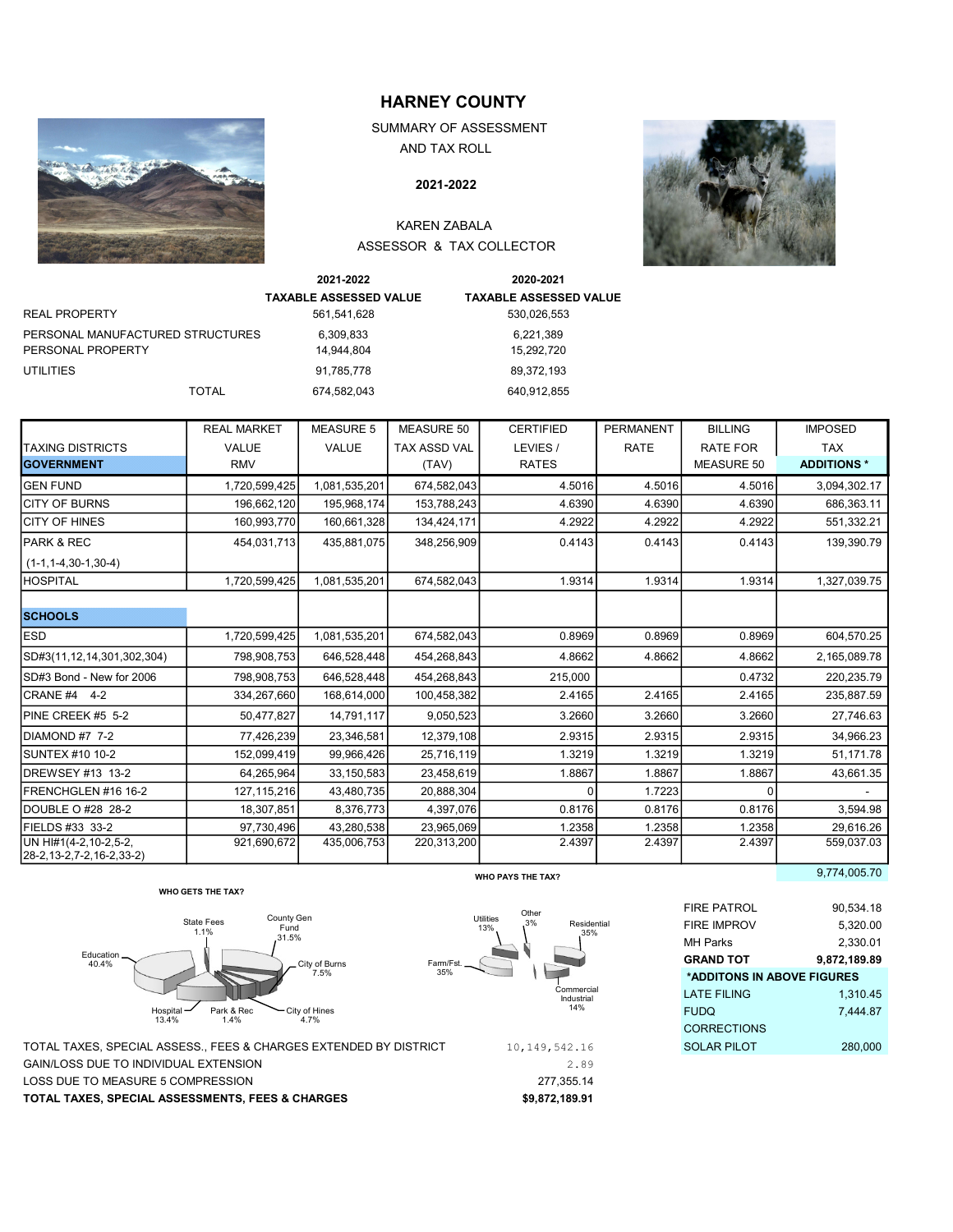

# HARNEY COUNTY

 SUMMARY OF ASSESSMENT AND TAX ROLL

## 2004-05 2021-2022

## KAREN ZABALA ASSESSOR & TAX COLLECTOR



| <b>TAXABLE ASSESSED VALUE</b><br><b>TAXABLE ASSESSED VALUE</b><br><b>REAL PROPERTY</b><br>561,541,628<br>530,026,553<br>PERSONAL MANUFACTURED STRUCTURES<br>6,221,389<br>6,309,833<br>PERSONAL PROPERTY<br>14.944.804<br>15,292,720<br>UTILITIES<br>91.785.778<br>89,372,193 | 2021-2022 | 2020-2021 |
|------------------------------------------------------------------------------------------------------------------------------------------------------------------------------------------------------------------------------------------------------------------------------|-----------|-----------|
|                                                                                                                                                                                                                                                                              |           |           |
|                                                                                                                                                                                                                                                                              |           |           |
|                                                                                                                                                                                                                                                                              |           |           |
|                                                                                                                                                                                                                                                                              |           |           |
|                                                                                                                                                                                                                                                                              |           |           |
| <b>TOTAL</b><br>674,582,043<br>640.912.855                                                                                                                                                                                                                                   |           |           |

|                                                       | <b>REAL MARKET</b> | <b>MEASURE 5</b> | <b>MEASURE 50</b>   | <b>CERTIFIED</b>         | <b>PERMANENT</b> | <b>BILLING</b>    | <b>IMPOSED</b>    |
|-------------------------------------------------------|--------------------|------------------|---------------------|--------------------------|------------------|-------------------|-------------------|
| <b>TAXING DISTRICTS</b>                               | <b>VALUE</b>       | <b>VALUE</b>     | <b>TAX ASSD VAL</b> | LEVIES /                 | <b>RATE</b>      | <b>RATE FOR</b>   | <b>TAX</b>        |
| <b>IGOVERNMENT</b>                                    | <b>RMV</b>         |                  | (TAV)               | <b>RATES</b>             |                  | <b>MEASURE 50</b> | <b>ADDITIONS*</b> |
| <b>GEN FUND</b>                                       | 1,720,599,425      | 1,081,535,201    | 674,582,043         | 4.5016                   | 4.5016           | 4.5016            | 3,094,302.17      |
| <b>ICITY OF BURNS</b>                                 | 196,662,120        | 195,968,174      | 153,788,243         | 4.6390                   | 4.6390           | 4.6390            | 686,363.11        |
| <b>CITY OF HINES</b>                                  | 160,993,770        | 160,661,328      | 134,424,171         | 4.2922                   | 4.2922           | 4.2922            | 551,332.21        |
| PARK & REC                                            | 454,031,713        | 435,881,075      | 348,256,909         | 0.4143                   | 0.4143           | 0.4143            | 139,390.79        |
| $(1-1, 1-4, 30-1, 30-4)$                              |                    |                  |                     |                          |                  |                   |                   |
| <b>HOSPITAL</b>                                       | 1,720,599,425      | 1,081,535,201    | 674,582,043         | 1.9314                   | 1.9314           | 1.9314            | 1,327,039.75      |
|                                                       |                    |                  |                     |                          |                  |                   |                   |
| <b>SCHOOLS</b>                                        |                    |                  |                     |                          |                  |                   |                   |
| <b>IESD</b>                                           | 1,720,599,425      | 1,081,535,201    | 674,582,043         | 0.8969                   | 0.8969           | 0.8969            | 604,570.25        |
| SD#3(11,12,14,301,302,304)                            | 798,908,753        | 646,528,448      | 454,268,843         | 4.8662                   | 4.8662           | 4.8662            | 2,165,089.78      |
| SD#3 Bond - New for 2006                              | 798,908,753        | 646,528,448      | 454,268,843         | 215,000                  |                  | 0.4732            | 220,235.79        |
| CRANE #4 4-2                                          | 334,267,660        | 168,614,000      | 100,458,382         | 2.4165                   | 2.4165           | 2.4165            | 235,887.59        |
| PINE CREEK #5 5-2                                     | 50,477,827         | 14,791,117       | 9,050,523           | 3.2660                   | 3.2660           | 3.2660            | 27,746.63         |
| DIAMOND #7 7-2                                        | 77,426,239         | 23,346,581       | 12,379,108          | 2.9315                   | 2.9315           | 2.9315            | 34,966.23         |
| <b>I</b> SUNTEX #10 10-2                              | 152.099.419        | 99.966.426       | 25,716,119          | 1.3219                   | 1.3219           | 1.3219            | 51,171.78         |
| DREWSEY #13 13-2                                      | 64,265,964         | 33,150,583       | 23,458,619          | 1.8867                   | 1.8867           | 1.8867            | 43,661.35         |
| FRENCHGLEN #16 16-2                                   | 127, 115, 216      | 43,480,735       | 20.888.304          | n                        | 1.7223           |                   |                   |
| DOUBLE O #28 28-2                                     | 18,307,851         | 8,376,773        | 4,397,076           | 0.8176                   | 0.8176           | 0.8176            | 3,594.98          |
| FIELDS #33 33-2                                       | 97,730,496         | 43,280,538       | 23,965,069          | 1.2358                   | 1.2358           | 1.2358            | 29.616.26         |
| UN HI#1(4-2,10-2,5-2,<br>28-2, 13-2, 7-2, 16-2, 33-2) | 921,690,672        | 435,006,753      | 220,313,200         | 2.4397                   | 2.4397           | 2.4397            | 559,037.03        |
|                                                       |                    |                  |                     | <b>WHO PAYS THE TAX?</b> |                  |                   | 9,774,005.70      |







|                                                                           | WHO PAYS THE TAX?                            |                            | 3,114,000.10 |
|---------------------------------------------------------------------------|----------------------------------------------|----------------------------|--------------|
| <b>WHO GETS THE TAX?</b>                                                  |                                              |                            |              |
|                                                                           | Other                                        | <b>FIRE PATROL</b>         | 90,534.18    |
| County Gen<br><b>State Fees</b><br>Fund<br>1.1%                           | Utilities<br>3%<br>Residential<br>13%<br>35% | <b>FIRE IMPROV</b>         | 5,320.00     |
| .31.5%                                                                    |                                              | MH Parks                   | 2,330.01     |
| Farm/Fst.<br>City of Burns                                                |                                              | <b>GRAND TOT</b>           | 9,872,189.89 |
| 35%<br>7.5%                                                               |                                              | *ADDITONS IN ABOVE FIGURES |              |
|                                                                           | Commercial<br>Industrial                     | <b>LATE FILING</b>         | 1,310.45     |
| ospital <b>—</b><br>Park & Rec<br>- City of Hines<br>3.4%<br>1.4%<br>4.7% | 14%                                          | <b>FUDQ</b>                | 7,444.87     |
|                                                                           |                                              | <b>CORRECTIONS</b>         |              |
| <b>ASSESS., FEES &amp; CHARGES EXTENDED BY DISTRICT</b>                   | 10, 149, 542. 16                             | <b>SOLAR PILOT</b>         | 280,000      |
|                                                                           |                                              |                            |              |

| TOTAL TAXES. SPECIAL ASSESSMENTS. FEES & CHARGES                | \$9.872.189.91 |                    |         |
|-----------------------------------------------------------------|----------------|--------------------|---------|
| LOSS DUE TO MEASURE 5 COMPRESSION                               | 277.355.14     |                    |         |
| GAIN/LOSS DUE TO INDIVIDUAL EXTENSION                           | 2.89           |                    |         |
| TOTAL TAXES. SPECIAL ASSESS FEES & CHARGES EXTENDED BY DISTRICT | 10,149,542.16  | <b>SOLAR PILOT</b> | 280,000 |